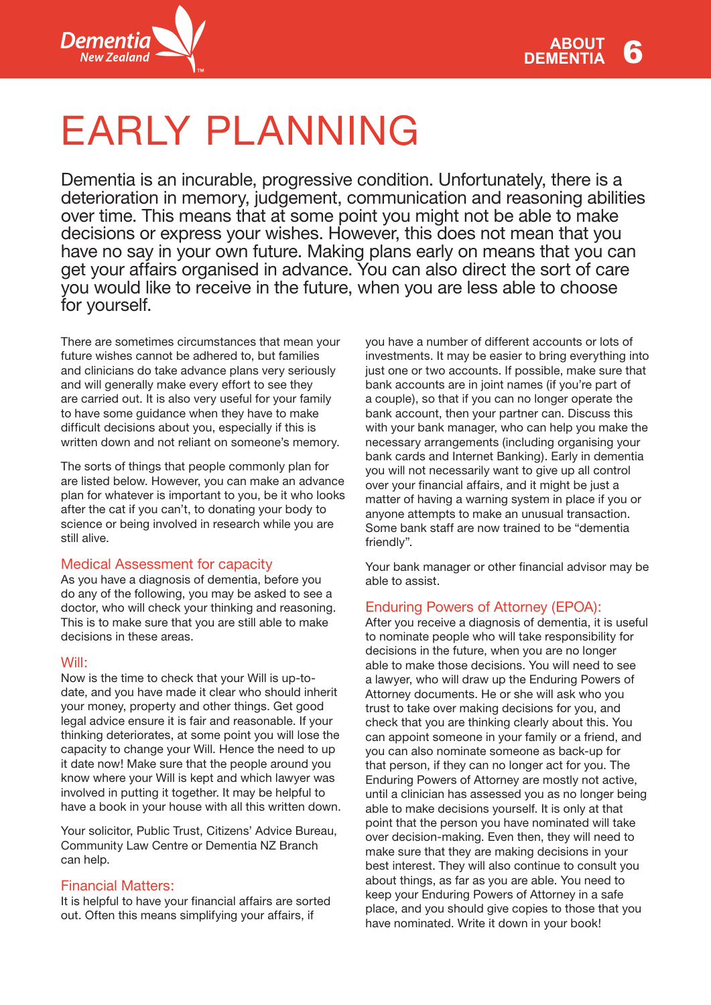

# EARLY PLANNING

Dementia is an incurable, progressive condition. Unfortunately, there is a deterioration in memory, judgement, communication and reasoning abilities over time. This means that at some point you might not be able to make decisions or express your wishes. However, this does not mean that you have no say in your own future. Making plans early on means that you can get your affairs organised in advance. You can also direct the sort of care you would like to receive in the future, when you are less able to choose for yourself.

There are sometimes circumstances that mean your future wishes cannot be adhered to, but families and clinicians do take advance plans very seriously and will generally make every effort to see they are carried out. It is also very useful for your family to have some guidance when they have to make difficult decisions about you, especially if this is written down and not reliant on someone's memory.

The sorts of things that people commonly plan for are listed below. However, you can make an advance plan for whatever is important to you, be it who looks after the cat if you can't, to donating your body to science or being involved in research while you are still alive.

## Medical Assessment for capacity

As you have a diagnosis of dementia, before you do any of the following, you may be asked to see a doctor, who will check your thinking and reasoning. This is to make sure that you are still able to make decisions in these areas.

## Will:

Now is the time to check that your Will is up-todate, and you have made it clear who should inherit your money, property and other things. Get good legal advice ensure it is fair and reasonable. If your thinking deteriorates, at some point you will lose the capacity to change your Will. Hence the need to up it date now! Make sure that the people around you know where your Will is kept and which lawyer was involved in putting it together. It may be helpful to have a book in your house with all this written down.

Your solicitor, Public Trust, Citizens' Advice Bureau, Community Law Centre or Dementia NZ Branch can help.

## Financial Matters:

It is helpful to have your financial affairs are sorted out. Often this means simplifying your affairs, if

you have a number of different accounts or lots of investments. It may be easier to bring everything into just one or two accounts. If possible, make sure that bank accounts are in joint names (if you're part of a couple), so that if you can no longer operate the bank account, then your partner can. Discuss this with your bank manager, who can help you make the necessary arrangements (including organising your bank cards and Internet Banking). Early in dementia you will not necessarily want to give up all control over your financial affairs, and it might be just a matter of having a warning system in place if you or anyone attempts to make an unusual transaction. Some bank staff are now trained to be "dementia friendly".

Your bank manager or other financial advisor may be able to assist.

# Enduring Powers of Attorney (EPOA):

After you receive a diagnosis of dementia, it is useful to nominate people who will take responsibility for decisions in the future, when you are no longer able to make those decisions. You will need to see a lawyer, who will draw up the Enduring Powers of Attorney documents. He or she will ask who you trust to take over making decisions for you, and check that you are thinking clearly about this. You can appoint someone in your family or a friend, and you can also nominate someone as back-up for that person, if they can no longer act for you. The Enduring Powers of Attorney are mostly not active, until a clinician has assessed you as no longer being able to make decisions yourself. It is only at that point that the person you have nominated will take over decision-making. Even then, they will need to make sure that they are making decisions in your best interest. They will also continue to consult you about things, as far as you are able. You need to keep your Enduring Powers of Attorney in a safe place, and you should give copies to those that you have nominated. Write it down in your book!